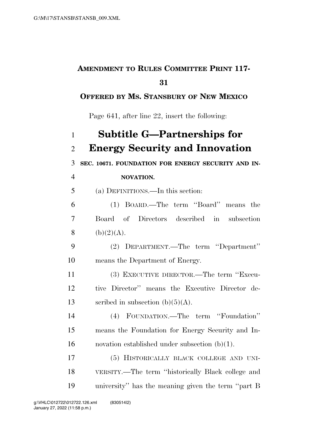## **AMENDMENT TO RULES COMMITTEE PRINT 117-**

## **OFFERED BY MS. STANSBURY OF NEW MEXICO**

Page 641, after line 22, insert the following:

| $\mathbf{1}$   | <b>Subtitle G-Partnerships for</b>                 |
|----------------|----------------------------------------------------|
| $\overline{2}$ | <b>Energy Security and Innovation</b>              |
| 3              | SEC. 10671. FOUNDATION FOR ENERGY SECURITY AND IN- |
| $\overline{4}$ | NOVATION.                                          |
| 5              | (a) DEFINITIONS.—In this section:                  |
| 6              | (1) BOARD.—The term "Board" means the              |
| 7              | Directors described in subsection<br>Board of      |
| 8              | (b)(2)(A).                                         |
| 9              | (2) DEPARTMENT.—The term "Department"              |
| 10             | means the Department of Energy.                    |
| 11             | (3) EXECUTIVE DIRECTOR.—The term "Execu-           |
| 12             | tive Director" means the Executive Director de-    |
| 13             | scribed in subsection $(b)(5)(A)$ .                |
| 14             | (4) FOUNDATION.—The term "Foundation"              |
| 15             | means the Foundation for Energy Security and In-   |
| 16             | novation established under subsection $(b)(1)$ .   |
| 17             | (5) HISTORICALLY BLACK COLLEGE AND UNI-            |
| 18             | VERSITY.—The term "historically Black college and  |
| 19             | university" has the meaning given the term "part B |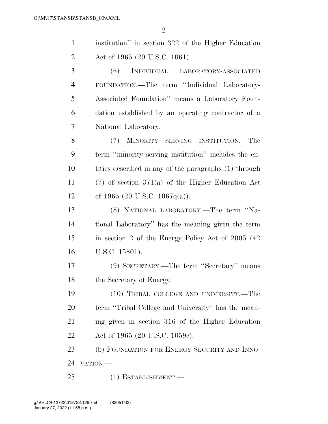| $\mathbf{1}$   | institution" in section 322 of the Higher Education   |
|----------------|-------------------------------------------------------|
| $\overline{2}$ | Act of 1965 (20 U.S.C. 1061).                         |
| 3              | (6)<br>INDIVIDUAL LABORATORY-ASSOCIATED               |
| $\overline{4}$ | FOUNDATION.-The term "Individual Laboratory-          |
| 5              | Associated Foundation" means a Laboratory Foun-       |
| 6              | dation established by an operating contractor of a    |
| 7              | National Laboratory.                                  |
| 8              | (7)<br>MINORITY SERVING INSTITUTION.—The              |
| 9              | term "minority serving institution" includes the en-  |
| 10             | tities described in any of the paragraphs (1) through |
| 11             | $(7)$ of section 371(a) of the Higher Education Act   |
| 12             | of 1965 (20 U.S.C. 1067q(a)).                         |
| 13             | (8) NATIONAL LABORATORY.—The term "Na-                |
| 14             | tional Laboratory" has the meaning given the term     |
| 15             | in section 2 of the Energy Policy Act of 2005 (42)    |
| 16             | U.S.C. 15801).                                        |
| 17             | (9) SECRETARY.—The term "Secretary" means             |
| 18             | the Secretary of Energy.                              |
| 19             | (10) TRIBAL COLLEGE AND UNIVERSITY.—The               |
| 20             | term "Tribal College and University" has the mean-    |
| 21             | ing given in section 316 of the Higher Education      |
| 22             | Act of 1965 (20 U.S.C. 1059c).                        |
| 23             | (b) FOUNDATION FOR ENERGY SECURITY AND INNO-          |
| 24             | VATION.-                                              |
| 25             | $(1)$ ESTABLISHMENT.—                                 |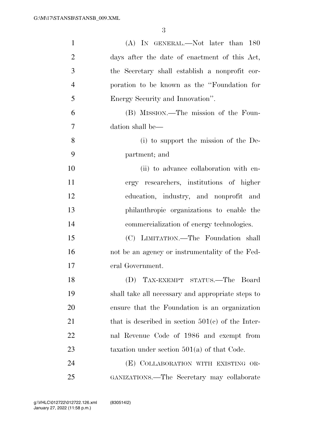| $\mathbf{1}$   | (A) IN GENERAL.—Not later than 180                  |
|----------------|-----------------------------------------------------|
| $\overline{2}$ | days after the date of enactment of this Act,       |
| 3              | the Secretary shall establish a nonprofit cor-      |
| $\overline{4}$ | poration to be known as the "Foundation for         |
| 5              | Energy Security and Innovation".                    |
| 6              | (B) MISSION.—The mission of the Foun-               |
| $\overline{7}$ | dation shall be—                                    |
| 8              | (i) to support the mission of the De-               |
| 9              | partment; and                                       |
| 10             | (ii) to advance collaboration with en-              |
| 11             | ergy researchers, institutions of higher            |
| 12             | education, industry, and nonprofit and              |
| 13             | philanthropic organizations to enable the           |
| 14             | commercialization of energy technologies.           |
| 15             | (C) LIMITATION.—The Foundation shall                |
| 16             | not be an agency or instrumentality of the Fed-     |
| 17             | eral Government.                                    |
| 18             | (D) TAX-EXEMPT STATUS.—The Board                    |
| 19             | shall take all necessary and appropriate steps to   |
| 20             | ensure that the Foundation is an organization       |
| 21             | that is described in section $501(e)$ of the Inter- |
| 22             | nal Revenue Code of 1986 and exempt from            |
| 23             | taxation under section $501(a)$ of that Code.       |
| 24             | (E) COLLABORATION WITH EXISTING OR-                 |
| 25             | GANIZATIONS.—The Secretary may collaborate          |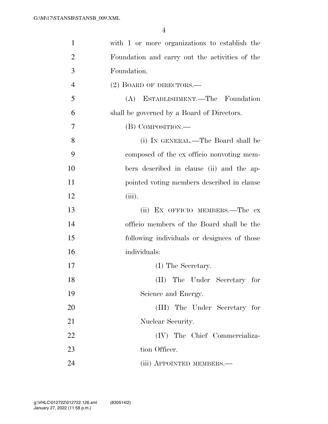| 1              | with 1 or more organizations to establish the  |
|----------------|------------------------------------------------|
| $\overline{2}$ | Foundation and carry out the activities of the |
| 3              | Foundation.                                    |
| $\overline{4}$ | $(2)$ BOARD OF DIRECTORS.—                     |
| 5              | (A) ESTABLISHMENT.—The Foundation              |
| 6              | shall be governed by a Board of Directors.     |
| 7              | (B) COMPOSITION.—                              |
| 8              | (i) IN GENERAL.—The Board shall be             |
| 9              | composed of the ex officio nonvoting mem-      |
| 10             | bers described in clause (ii) and the ap-      |
| 11             | pointed voting members described in clause     |
| 12             | (iii).                                         |
| 13             | (ii) EX OFFICIO MEMBERS.—The ex                |
| 14             | officio members of the Board shall be the      |
| 15             | following individuals or designees of those    |
| 16             | individuals:                                   |
| 17             | (I) The Secretary.                             |
| 18             | (II) The Under Secretary for                   |
| 19             | Science and Energy.                            |
| 20             | (III) The Under Secretary for                  |
| 21             | Nuclear Security.                              |
| 22             | (IV) The Chief Commercializa-                  |
| 23             | tion Officer.                                  |
| 24             | (iii) APPOINTED MEMBERS.—                      |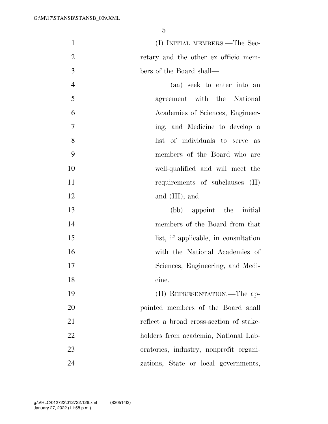1 (I) INITIAL MEMBERS.—The Sec- retary and the other ex officio mem-bers of the Board shall—

 (aa) seek to enter into an agreement with the National Academies of Sciences, Engineer- ing, and Medicine to develop a 8 list of individuals to serve as members of the Board who are well-qualified and will meet the 11 requirements of subclauses (II) 12 and (III); and

 (bb) appoint the initial members of the Board from that 15 list, if applicable, in consultation with the National Academies of Sciences, Engineering, and Medi-cine.

 (II) REPRESENTATION.—The ap- pointed members of the Board shall 21 reflect a broad cross-section of stake- holders from academia, National Lab- oratories, industry, nonprofit organi-zations, State or local governments,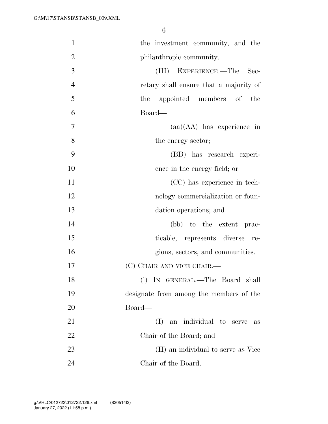| $\mathbf{1}$   | the investment community, and the       |
|----------------|-----------------------------------------|
| $\overline{2}$ | philanthropic community.                |
| 3              | EXPERIENCE.-The<br>(III)<br>Sec-        |
| $\overline{4}$ | retary shall ensure that a majority of  |
| 5              | the appointed members of the            |
| 6              | Board—                                  |
| $\overline{7}$ | $(aa)(AA)$ has experience in            |
| 8              | the energy sector;                      |
| 9              | (BB) has research experi-               |
| 10             | ence in the energy field; or            |
| 11             | (CC) has experience in tech-            |
| 12             | nology commercialization or foun-       |
| 13             | dation operations; and                  |
| 14             | (bb) to the extent prac-                |
| 15             | ticable, represents diverse<br>re-      |
| 16             | gions, sectors, and communities.        |
| 17             | (C) CHAIR AND VICE CHAIR.—              |
| 18             | (i) IN GENERAL.—The Board shall         |
| 19             | designate from among the members of the |
| 20             | Board—                                  |
| 21             | an individual to<br>(I)<br>serve<br>as  |
| 22             | Chair of the Board; and                 |
| 23             | (II) an individual to serve as Vice     |
| 24             | Chair of the Board.                     |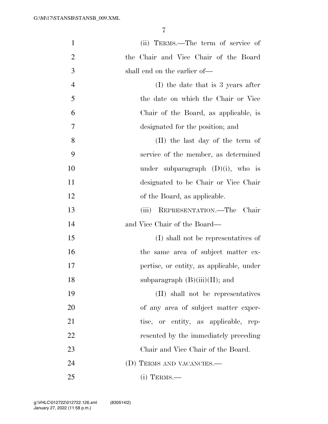| $\mathbf{1}$   | (ii) TERMS.—The term of service of       |
|----------------|------------------------------------------|
| $\overline{2}$ | the Chair and Vice Chair of the Board    |
| 3              | shall end on the earlier of—             |
| $\overline{4}$ | $(I)$ the date that is 3 years after     |
| 5              | the date on which the Chair or Vice      |
| 6              | Chair of the Board, as applicable, is    |
| $\overline{7}$ | designated for the position; and         |
| 8              | (II) the last day of the term of         |
| 9              | service of the member, as determined     |
| 10             | under subparagraph $(D)(i)$ , who is     |
| 11             | designated to be Chair or Vice Chair     |
| 12             | of the Board, as applicable.             |
| 13             | REPRESENTATION.—The Chair<br>(iii)       |
| 14             | and Vice Chair of the Board—             |
| 15             | (I) shall not be representatives of      |
| 16             | the same area of subject matter ex-      |
| 17             | pertise, or entity, as applicable, under |
| 18             | subparagraph $(B)(iii)(II)$ ; and        |
| 19             | (II) shall not be representatives        |
| 20             | of any area of subject matter exper-     |
| 21             | tise, or entity, as applicable, rep-     |
| 22             | resented by the immediately preceding    |
| 23             | Chair and Vice Chair of the Board.       |
| 24             | (D) TERMS AND VACANCIES.-                |
| 25             | $(i)$ TERMS.—                            |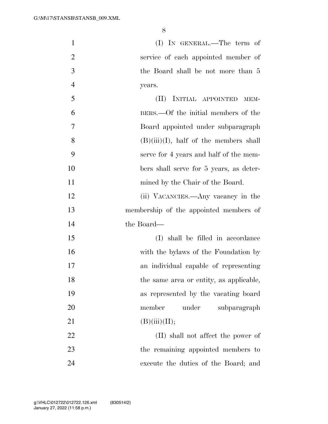| $\mathbf{1}$   | $(I)$ IN GENERAL.—The term of             |
|----------------|-------------------------------------------|
| $\overline{2}$ | service of each appointed member of       |
| 3              | the Board shall be not more than 5        |
| $\overline{4}$ | years.                                    |
| 5              | INITIAL APPOINTED<br>(II)<br>MEM-         |
| 6              | BERS.—Of the initial members of the       |
| 7              | Board appointed under subparagraph        |
| 8              | $(B)(iii)(I)$ , half of the members shall |
| 9              | serve for 4 years and half of the mem-    |
| 10             | bers shall serve for 5 years, as deter-   |
| 11             | mined by the Chair of the Board.          |
| 12             | (ii) VACANCIES.—Any vacancy in the        |
| 13             | membership of the appointed members of    |
| 14             | the Board—                                |
| 15             | (I) shall be filled in accordance         |
| 16             | with the bylaws of the Foundation by      |
| 17             | an individual capable of representing     |
| 18             | the same area or entity, as applicable,   |
| 19             | as represented by the vacating board      |
| 20             | member<br>under<br>subparagraph           |
| 21             | (B)(iii)(II);                             |
| 22             | (II) shall not affect the power of        |
| 23             | the remaining appointed members to        |
| 24             | execute the duties of the Board; and      |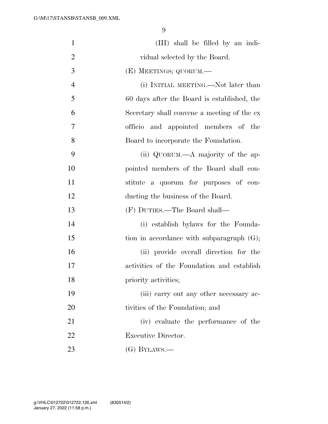| $\mathbf{1}$   | (III) shall be filled by an indi-            |
|----------------|----------------------------------------------|
| $\overline{2}$ | vidual selected by the Board.                |
| 3              | (E) MEETINGS; QUORUM.—                       |
| $\overline{4}$ | (i) INITIAL MEETING.—Not later than          |
| 5              | 60 days after the Board is established, the  |
| 6              | Secretary shall convene a meeting of the ex- |
| 7              | officio and appointed members of the         |
| 8              | Board to incorporate the Foundation.         |
| 9              | (ii) QUORUM.—A majority of the ap-           |
| 10             | pointed members of the Board shall con-      |
| 11             | stitute a quorum for purposes of con-        |
| 12             | ducting the business of the Board.           |
| 13             | (F) DUTIES.—The Board shall—                 |
| 14             | (i) establish bylaws for the Founda-         |
| 15             | tion in accordance with subparagraph $(G)$ ; |
| 16             | (ii) provide overall direction for the       |
| 17             | activities of the Foundation and establish   |
| 18             | priority activities;                         |
| 19             | (iii) carry out any other necessary ac-      |
| 20             | tivities of the Foundation; and              |
| 21             | (iv) evaluate the performance of the         |
| 22             | Executive Director.                          |
| 23             | $(G)$ BYLAWS.—                               |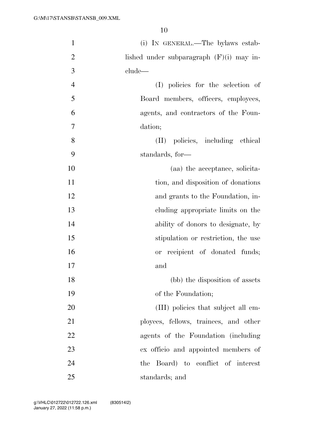| $\mathbf{1}$   | (i) IN GENERAL.—The bylaws estab-          |
|----------------|--------------------------------------------|
| $\overline{2}$ | lished under subparagraph $(F)(i)$ may in- |
| 3              | clude—                                     |
| $\overline{4}$ | (I) policies for the selection of          |
| 5              | Board members, officers, employees,        |
| 6              | agents, and contractors of the Foun-       |
| $\overline{7}$ | dation;                                    |
| 8              | (II) policies, including ethical           |
| 9              | standards, for-                            |
| 10             | (aa) the acceptance, solicita-             |
| 11             | tion, and disposition of donations         |
| 12             | and grants to the Foundation, in-          |
| 13             | eluding appropriate limits on the          |
| 14             | ability of donors to designate, by         |
| 15             | stipulation or restriction, the use        |
| 16             | or recipient of donated funds;             |
| 17             | and                                        |
| 18             | (bb) the disposition of assets             |
| 19             | of the Foundation;                         |
| 20             | (III) policies that subject all em-        |
| 21             | ployees, fellows, trainees, and other      |
| 22             | agents of the Foundation (including)       |
| 23             | ex officio and appointed members of        |
| 24             | the Board) to conflict of interest         |
| 25             | standards; and                             |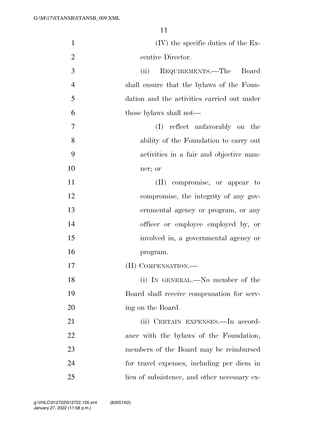| $\mathbf{1}$   | $(V)$ the specific duties of the Ex-         |
|----------------|----------------------------------------------|
| $\overline{2}$ | ecutive Director.                            |
| 3              | REQUIREMENTS.—The Board<br>(ii)              |
| $\overline{4}$ | shall ensure that the bylaws of the Foun-    |
| 5              | dation and the activities carried out under  |
| 6              | those bylaws shall not—                      |
| 7              | (I) reflect unfavorably on the               |
| 8              | ability of the Foundation to carry out       |
| 9              | activities in a fair and objective man-      |
| 10             | ner; or                                      |
| 11             | (II) compromise, or appear to                |
| 12             | compromise, the integrity of any gov-        |
| 13             | ernmental agency or program, or any          |
| 14             | officer or employee employed by, or          |
| 15             | involved in, a governmental agency or        |
| 16             | program.                                     |
| 17             | (H) COMPENSATION.—                           |
| 18             | (i) IN GENERAL.—No member of the             |
| 19             | Board shall receive compensation for serv-   |
| 20             | ing on the Board.                            |
| 21             | (ii) CERTAIN EXPENSES.—In accord-            |
| 22             | ance with the bylaws of the Foundation,      |
| 23             | members of the Board may be reimbursed       |
| 24             | for travel expenses, including per diem in   |
| 25             | lieu of subsistence, and other necessary ex- |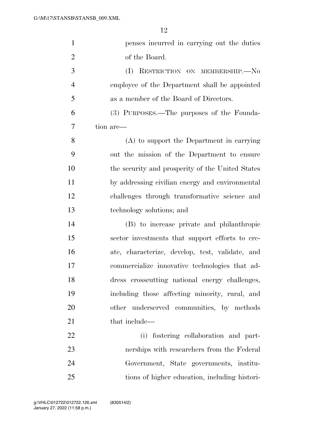| $\mathbf{1}$   | penses incurred in carrying out the duties       |
|----------------|--------------------------------------------------|
| $\overline{2}$ | of the Board.                                    |
| 3              | RESTRICTION ON MEMBERSHIP.-No<br>(I)             |
| $\overline{4}$ | employee of the Department shall be appointed    |
| 5              | as a member of the Board of Directors.           |
| 6              | (3) PURPOSES.—The purposes of the Founda-        |
| 7              | tion are—                                        |
| 8              | (A) to support the Department in carrying        |
| 9              | out the mission of the Department to ensure      |
| 10             | the security and prosperity of the United States |
| 11             | by addressing civilian energy and environmental  |
| 12             | challenges through transformative science and    |
| 13             | technology solutions; and                        |
| 14             | (B) to increase private and philanthropic        |
| 15             | sector investments that support efforts to cre-  |
| 16             | ate, characterize, develop, test, validate, and  |
| 17             | commercialize innovative technologies that ad-   |
| 18             | dress crosscutting national energy challenges,   |
| 19             | including those affecting minority, rural, and   |
| 20             | other underserved communities, by methods        |
| 21             | that include—                                    |
| 22             | (i) fostering collaboration and part-            |
| 23             | nerships with researchers from the Federal       |
| 24             | Government, State governments, institu-          |
| 25             | tions of higher education, including histori-    |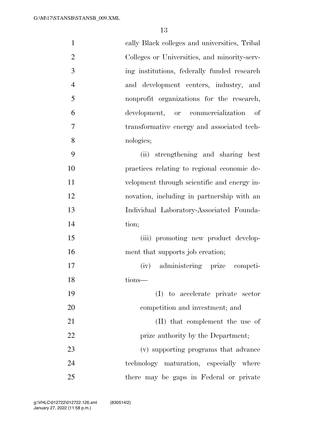| $\mathbf{1}$   | cally Black colleges and universities, Tribal |
|----------------|-----------------------------------------------|
| $\overline{2}$ | Colleges or Universities, and minority-serv-  |
| 3              | ing institutions, federally funded research   |
| $\overline{4}$ | and development centers, industry, and        |
| 5              | nonprofit organizations for the research,     |
| 6              | development, or commercialization<br>- of     |
| $\overline{7}$ | transformative energy and associated tech-    |
| 8              | nologies;                                     |
| 9              | (ii) strengthening and sharing best           |
| 10             | practices relating to regional economic de-   |
| 11             | velopment through scientific and energy in-   |
| 12             | novation, including in partnership with an    |
| 13             | Individual Laboratory-Associated Founda-      |
| 14             | tion;                                         |
| 15             | (iii) promoting new product develop-          |
| 16             | ment that supports job creation;              |
| 17             | (iv) administering prize competi-             |
| 18             | tions—                                        |
| 19             | (I) to accelerate private sector              |
| 20             | competition and investment; and               |
| 21             | (II) that complement the use of               |
| 22             | prize authority by the Department;            |
| 23             | (v) supporting programs that advance          |
| 24             | technology maturation, especially where       |
| 25             | there may be gaps in Federal or private       |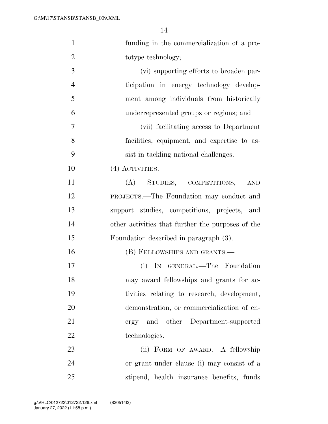| $\mathbf{1}$   | funding in the commercialization of a pro-        |
|----------------|---------------------------------------------------|
| $\overline{2}$ | totype technology;                                |
| 3              | (vi) supporting efforts to broaden par-           |
| $\overline{4}$ | ticipation in energy technology develop-          |
| 5              | ment among individuals from historically          |
| 6              | underrepresented groups or regions; and           |
| 7              | (vii) facilitating access to Department           |
| 8              | facilities, equipment, and expertise to as-       |
| 9              | sist in tackling national challenges.             |
| 10             | $(4)$ ACTIVITIES.—                                |
| 11             | STUDIES, COMPETITIONS,<br>(A)<br><b>AND</b>       |
| 12             | PROJECTS.—The Foundation may conduct and          |
| 13             | support studies, competitions, projects, and      |
| 14             | other activities that further the purposes of the |
| 15             | Foundation described in paragraph (3).            |
| 16             | (B) FELLOWSHIPS AND GRANTS.—                      |
| 17             | IN GENERAL.—The Foundation<br>(i)                 |
| 18             | may award fellowships and grants for ac-          |
| 19             | tivities relating to research, development,       |
| 20             | demonstration, or commercialization of en-        |
| 21             | ergy and other Department-supported               |
| 22             | technologies.                                     |
| 23             | (ii) FORM OF AWARD.—A fellowship                  |
| 24             | or grant under clause (i) may consist of a        |
| 25             | stipend, health insurance benefits, funds         |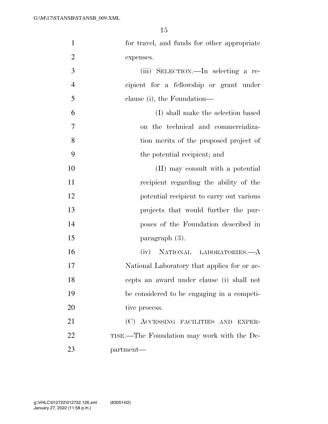| $\mathbf{1}$   | for travel, and funds for other appropriate |
|----------------|---------------------------------------------|
| $\overline{2}$ | expenses.                                   |
| 3              | (iii) SELECTION.—In selecting a re-         |
| $\overline{4}$ | cipient for a fellowship or grant under     |
| 5              | clause (i), the Foundation—                 |
| 6              | (I) shall make the selection based          |
| 7              | on the technical and commercializa-         |
| 8              | tion merits of the proposed project of      |
| 9              | the potential recipient; and                |
| 10             | (II) may consult with a potential           |
| 11             | recipient regarding the ability of the      |
| 12             | potential recipient to carry out various    |
| 13             | projects that would further the pur-        |
| 14             | poses of the Foundation described in        |
| 15             | paragraph (3).                              |
| 16             | (iv) NATIONAL LABORATORIES.—A               |
| 17             | National Laboratory that applies for or ac- |
| 18             | cepts an award under clause (i) shall not   |
| 19             | be considered to be engaging in a competi-  |
| 20             | tive process.                               |
| 21             | (C) ACCESSING FACILITIES AND EXPER-         |
| 22             | TISE.—The Foundation may work with the De-  |
| 23             | partment—                                   |
|                |                                             |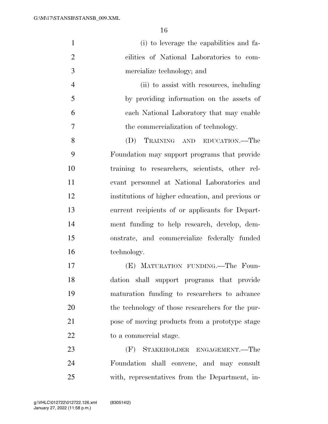| $\mathbf{1}$   | (i) to leverage the capabilities and fa-          |
|----------------|---------------------------------------------------|
| $\overline{2}$ | cilities of National Laboratories to com-         |
| 3              | mercialize technology; and                        |
| $\overline{4}$ | (ii) to assist with resources, including          |
| 5              | by providing information on the assets of         |
| 6              | each National Laboratory that may enable          |
| 7              | the commercialization of technology.              |
| 8              | (D)<br>TRAINING AND EDUCATION.—The                |
| 9              | Foundation may support programs that provide      |
| 10             | training to researchers, scientists, other rel-   |
| 11             | evant personnel at National Laboratories and      |
| 12             | institutions of higher education, and previous or |
| 13             | current recipients of or applicants for Depart-   |
| 14             | ment funding to help research, develop, dem-      |
| 15             | onstrate, and commercialize federally funded      |
| 16             | technology.                                       |
| 17             | (E) MATURATION FUNDING. The Foun-                 |
| 18             | dation shall support programs that provide        |
| 19             | maturation funding to researchers to advance      |
| 20             | the technology of those researchers for the pur-  |
| 21             | pose of moving products from a prototype stage    |
| 22             | to a commercial stage.                            |
| 23             | (F)<br>STAKEHOLDER ENGAGEMENT.—The                |
| 24             | Foundation shall convene, and may consult         |
| 25             | with, representatives from the Department, in-    |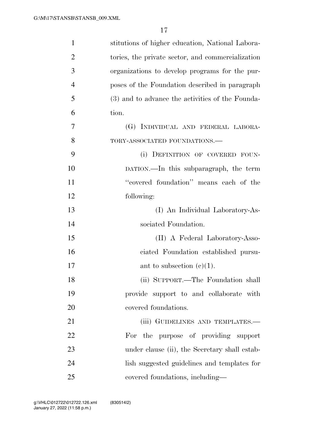| $\mathbf{1}$   | stitutions of higher education, National Labora-  |
|----------------|---------------------------------------------------|
| $\overline{2}$ | tories, the private sector, and commercialization |
| 3              | organizations to develop programs for the pur-    |
| $\overline{4}$ | poses of the Foundation described in paragraph    |
| 5              | (3) and to advance the activities of the Founda-  |
| 6              | tion.                                             |
| 7              | (G) INDIVIDUAL AND FEDERAL LABORA-                |
| 8              | TORY-ASSOCIATED FOUNDATIONS.-                     |
| 9              | (i) DEFINITION OF COVERED FOUN-                   |
| 10             | DATION.—In this subparagraph, the term            |
| 11             | "covered foundation" means each of the            |
| 12             | following:                                        |
| 13             | (I) An Individual Laboratory-As-                  |
| 14             | sociated Foundation.                              |
| 15             | (II) A Federal Laboratory-Asso-                   |
| 16             | ciated Foundation established pursu-              |
| 17             | ant to subsection $(c)(1)$ .                      |
| 18             | (ii) SUPPORT.—The Foundation shall                |
| 19             | provide support to and collaborate with           |
| 20             | covered foundations.                              |
| 21             | (iii) GUIDELINES AND TEMPLATES.—                  |
| 22             | For the purpose of providing support              |
| 23             | under clause (ii), the Secretary shall estab-     |
| 24             | lish suggested guidelines and templates for       |
| 25             | covered foundations, including—                   |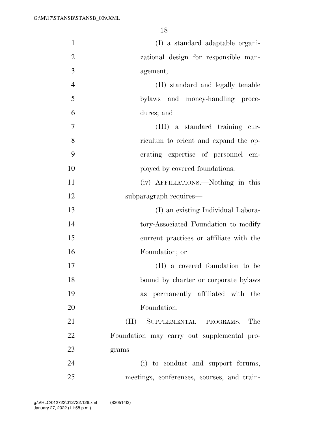| $\mathbf{1}$   | (I) a standard adaptable organi-           |
|----------------|--------------------------------------------|
| $\overline{2}$ | zational design for responsible man-       |
| 3              | agement;                                   |
| $\overline{4}$ | (II) standard and legally tenable          |
| 5              | bylaws and money-handling proce-           |
| 6              | dures; and                                 |
| 7              | (III) a standard training cur-             |
| 8              | riculum to orient and expand the op-       |
| 9              | erating expertise of personnel em-         |
| 10             | ployed by covered foundations.             |
| 11             | (iv) AFFILIATIONS.—Nothing in this         |
| 12             | subparagraph requires—                     |
| 13             | (I) an existing Individual Labora-         |
| 14             | tory-Associated Foundation to modify       |
| 15             | current practices or affiliate with the    |
| 16             | Foundation; or                             |
| 17             | (II) a covered foundation to be            |
| 18             | bound by charter or corporate bylaws       |
| 19             | as permanently affiliated with the         |
| 20             | Foundation.                                |
| 21             | (H)<br>SUPPLEMENTAL PROGRAMS.—The          |
| 22             | Foundation may carry out supplemental pro- |
| 23             | $grams-$                                   |
| 24             | (i) to conduct and support forums,         |
| 25             | meetings, conferences, courses, and train- |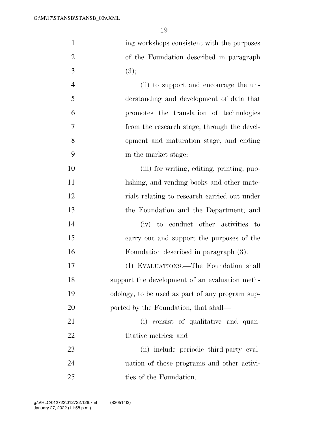| $\mathbf{1}$   | ing workshops consistent with the purposes      |
|----------------|-------------------------------------------------|
| $\overline{2}$ | of the Foundation described in paragraph        |
| 3              | (3);                                            |
| $\overline{4}$ | (ii) to support and encourage the un-           |
| 5              | derstanding and development of data that        |
| 6              | promotes the translation of technologies        |
| 7              | from the research stage, through the devel-     |
| 8              | opment and maturation stage, and ending         |
| 9              | in the market stage;                            |
| 10             | (iii) for writing, editing, printing, pub-      |
| 11             | lishing, and vending books and other mate-      |
| 12             | rials relating to research carried out under    |
| 13             | the Foundation and the Department; and          |
| 14             | (iv) to conduct other activities to             |
| 15             | carry out and support the purposes of the       |
| 16             | Foundation described in paragraph (3).          |
| 17             | (I) EVALUATIONS.—The Foundation shall           |
| 18             | support the development of an evaluation meth-  |
| 19             | odology, to be used as part of any program sup- |
| 20             | ported by the Foundation, that shall—           |
| 21             | (i) consist of qualitative and quan-            |
| 22             | titative metrics; and                           |
| 23             | (ii) include periodic third-party eval-         |
| 24             | uation of those programs and other activi-      |
| 25             | ties of the Foundation.                         |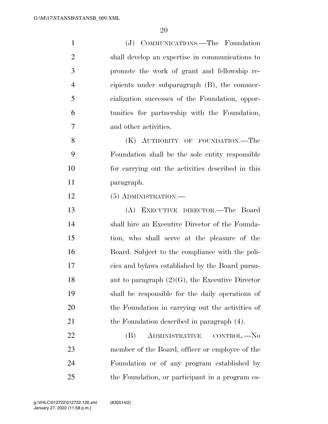| $\mathbf{1}$   | (J) COMMUNICATIONS.—The Foundation                 |
|----------------|----------------------------------------------------|
| $\overline{2}$ | shall develop an expertise in communications to    |
| 3              | promote the work of grant and fellowship re-       |
| $\overline{4}$ | cipients under subparagraph (B), the commer-       |
| 5              | cialization successes of the Foundation, oppor-    |
| 6              | tunities for partnership with the Foundation,      |
| 7              | and other activities.                              |
| 8              | (K) AUTHORITY OF FOUNDATION.—The                   |
| 9              | Foundation shall be the sole entity responsible    |
| 10             | for carrying out the activities described in this  |
| 11             | paragraph.                                         |
| 12             | $(5)$ ADMINISTRATION.—                             |
| 13             | (A) EXECUTIVE DIRECTOR.—The Board                  |
| 14             | shall hire an Executive Director of the Founda-    |
| 15             | tion, who shall serve at the pleasure of the       |
| 16             | Board. Subject to the compliance with the poli-    |
| 17             | cies and bylaws established by the Board pursu-    |
| 18             | ant to paragraph $(2)(G)$ , the Executive Director |
| 19             | shall be responsible for the daily operations of   |
| 20             | the Foundation in carrying out the activities of   |
| 21             | the Foundation described in paragraph (4).         |
|                |                                                    |

 (B) ADMINISTRATIVE CONTROL.—No member of the Board, officer or employee of the Foundation or of any program established by the Foundation, or participant in a program es-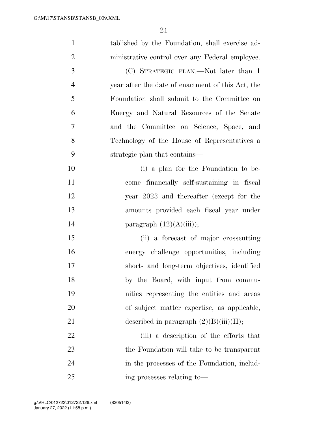| $\mathbf{1}$   | tablished by the Foundation, shall exercise ad-   |
|----------------|---------------------------------------------------|
| $\overline{2}$ | ministrative control over any Federal employee.   |
| 3              | (C) STRATEGIC PLAN.—Not later than 1              |
| $\overline{4}$ | year after the date of enactment of this Act, the |
| 5              | Foundation shall submit to the Committee on       |
| 6              | Energy and Natural Resources of the Senate        |
| 7              | and the Committee on Science, Space, and          |
| 8              | Technology of the House of Representatives a      |
| 9              | strategic plan that contains—                     |
| 10             | (i) a plan for the Foundation to be-              |
| 11             | come financially self-sustaining in fiscal        |
| 12             | year 2023 and thereafter (except for the          |
| 13             | amounts provided each fiscal year under           |
| 14             | paragraph $(12)(A)(iii)$ ;                        |
| 15             | (ii) a forecast of major crosscutting             |
| 16             | energy challenge opportunities, including         |
| 17             | short- and long-term objectives, identified       |
| 18             | by the Board, with input from commu-              |
| 19             | nities representing the entities and areas        |
| 20             | of subject matter expertise, as applicable,       |
| 21             | described in paragraph $(2)(B)(iii)(II);$         |
| 22             | (iii) a description of the efforts that           |
| 23             | the Foundation will take to be transparent        |
| 24             | in the processes of the Foundation, includ-       |
| 25             | ing processes relating to-                        |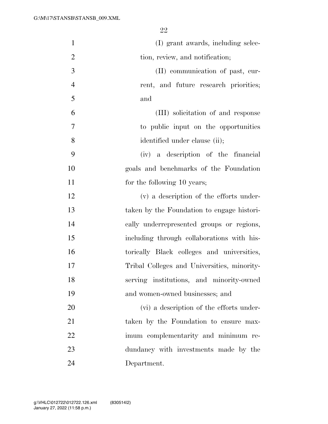| $\mathbf{1}$   | (I) grant awards, including selec-          |
|----------------|---------------------------------------------|
| $\overline{2}$ | tion, review, and notification;             |
| 3              | (II) communication of past, cur-            |
| $\overline{4}$ | rent, and future research priorities;       |
| 5              | and                                         |
| 6              | (III) solicitation of and response          |
| 7              | to public input on the opportunities        |
| 8              | identified under clause (ii);               |
| 9              | (iv) a description of the financial         |
| 10             | goals and benchmarks of the Foundation      |
| 11             | for the following 10 years;                 |
| 12             | (v) a description of the efforts under-     |
| 13             | taken by the Foundation to engage histori-  |
| 14             | cally underrepresented groups or regions,   |
| 15             | including through collaborations with his-  |
| 16             | torically Black colleges and universities,  |
| 17             | Tribal Colleges and Universities, minority- |
| 18             | serving institutions, and minority-owned    |
| 19             | and women-owned businesses; and             |
| 20             | (vi) a description of the efforts under-    |
| 21             | taken by the Foundation to ensure max-      |
| 22             | imum complementarity and minimum re-        |
| 23             | dundancy with investments made by the       |
| 24             | Department.                                 |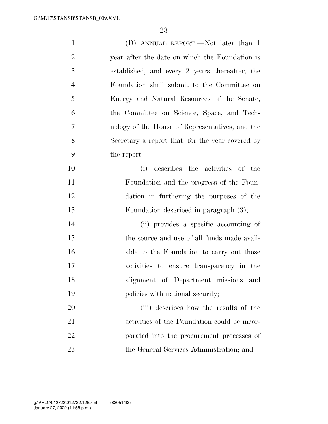| $\mathbf{1}$   | (D) ANNUAL REPORT.—Not later than 1              |
|----------------|--------------------------------------------------|
| $\overline{2}$ | year after the date on which the Foundation is   |
| 3              | established, and every 2 years thereafter, the   |
| $\overline{4}$ | Foundation shall submit to the Committee on      |
| 5              | Energy and Natural Resources of the Senate,      |
| 6              | the Committee on Science, Space, and Tech-       |
| 7              | nology of the House of Representatives, and the  |
| 8              | Secretary a report that, for the year covered by |
| 9              | the report—                                      |
| 10             | describes the activities of the<br>(i)           |
| 11             | Foundation and the progress of the Foun-         |
| 12             | dation in furthering the purposes of the         |
| 13             | Foundation described in paragraph (3);           |
| 14             | (ii) provides a specific accounting of           |
| 15             | the source and use of all funds made avail-      |
| 16             | able to the Foundation to carry out those        |
| 17             | activities to ensure transparency in the         |
| 18             | alignment of Department missions<br>and          |
| 19             | policies with national security;                 |
| 20             | (iii) describes how the results of the           |
| 21             | activities of the Foundation could be incor-     |
| 22             | porated into the procurement processes of        |
| 23             | the General Services Administration; and         |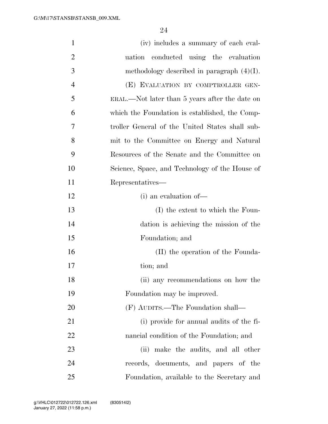| $\mathbf{1}$   | (iv) includes a summary of each eval-           |
|----------------|-------------------------------------------------|
| $\overline{2}$ | uation conducted using the evaluation           |
| 3              | methodology described in paragraph $(4)(I)$ .   |
| 4              | (E) EVALUATION BY COMPTROLLER GEN-              |
| 5              | ERAL.—Not later than 5 years after the date on  |
| 6              | which the Foundation is established, the Comp-  |
| 7              | troller General of the United States shall sub- |
| 8              | mit to the Committee on Energy and Natural      |
| 9              | Resources of the Senate and the Committee on    |
| 10             | Science, Space, and Technology of the House of  |
| 11             | Representatives—                                |
| 12             | (i) an evaluation of-                           |
| 13             | (I) the extent to which the Foun-               |
| 14             | dation is achieving the mission of the          |
| 15             | Foundation; and                                 |
| 16             | (II) the operation of the Founda-               |
| 17             | tion; and                                       |
| 18             | (ii) any recommendations on how the             |
| 19             | Foundation may be improved.                     |
| 20             | (F) AUDITS.—The Foundation shall—               |
| 21             | (i) provide for annual audits of the fi-        |
| $22\,$         | nancial condition of the Foundation; and        |
| 23             | (ii) make the audits, and all other             |
| 24             | records, documents, and papers of the           |
| 25             | Foundation, available to the Secretary and      |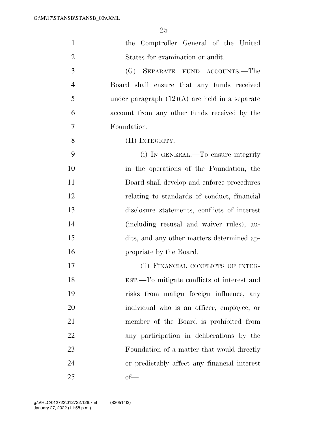| $\mathbf{1}$   | the Comptroller General of the United            |
|----------------|--------------------------------------------------|
| $\overline{2}$ | States for examination or audit.                 |
| 3              | (G) SEPARATE FUND ACCOUNTS.—The                  |
| $\overline{4}$ | Board shall ensure that any funds received       |
| 5              | under paragraph $(12)(A)$ are held in a separate |
| 6              | account from any other funds received by the     |
| 7              | Foundation.                                      |
| 8              | (H) INTEGRITY.—                                  |
| 9              | (i) IN GENERAL.—To ensure integrity              |
| 10             | in the operations of the Foundation, the         |
| 11             | Board shall develop and enforce procedures       |
| 12             | relating to standards of conduct, financial      |
| 13             | disclosure statements, conflicts of interest     |
| 14             | (including recusal and waiver rules), au-        |
| 15             | dits, and any other matters determined ap-       |
| 16             | propriate by the Board.                          |
| 17             | (ii) FINANCIAL CONFLICTS OF INTER-               |
| 18             | EST.—To mitigate conflicts of interest and       |
| 19             | risks from malign foreign influence, any         |
| 20             | individual who is an officer, employee, or       |
| 21             | member of the Board is prohibited from           |
| 22             | any participation in deliberations by the        |
| 23             | Foundation of a matter that would directly       |
| 24             | or predictably affect any financial interest     |
| 25             | $of$ —                                           |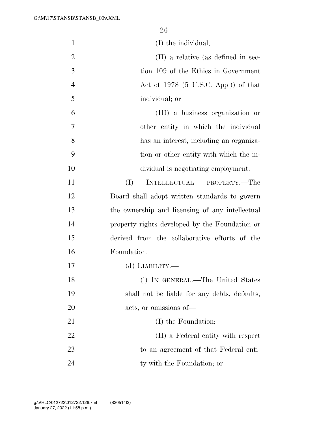| $\mathbf{1}$   | (I) the individual;                             |
|----------------|-------------------------------------------------|
| $\overline{2}$ | (II) a relative (as defined in sec-             |
| 3              | tion 109 of the Ethics in Government            |
| 4              | Act of $1978$ (5 U.S.C. App.)) of that          |
| 5              | individual; or                                  |
| 6              | (III) a business organization or                |
| 7              | other entity in which the individual            |
| 8              | has an interest, including an organiza-         |
| 9              | tion or other entity with which the in-         |
| 10             | dividual is negotiating employment.             |
| 11             | (I)<br><b>INTELLECTUAL</b><br>PROPERTY.—The     |
| 12             | Board shall adopt written standards to govern   |
| 13             | the ownership and licensing of any intellectual |
| 14             | property rights developed by the Foundation or  |
| 15             | derived from the collaborative efforts of the   |
| 16             | Foundation.                                     |
| 17             | $(J)$ LIABILITY.—                               |
| 18             | (i) IN GENERAL.—The United States               |
| 19             | shall not be liable for any debts, defaults,    |
| 20             | acts, or omissions of—                          |
| 21             | (I) the Foundation;                             |
| 22             | (II) a Federal entity with respect              |
| 23             | to an agreement of that Federal enti-           |
| 24             | ty with the Foundation; or                      |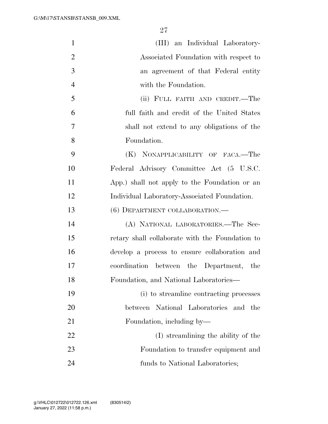| $\mathbf{1}$   | (III) an Individual Laboratory-                 |
|----------------|-------------------------------------------------|
| $\overline{2}$ | Associated Foundation with respect to           |
| 3              | an agreement of that Federal entity             |
| $\overline{4}$ | with the Foundation.                            |
| 5              | (ii) FULL FAITH AND CREDIT.—The                 |
| 6              | full faith and credit of the United States      |
| 7              | shall not extend to any obligations of the      |
| 8              | Foundation.                                     |
| 9              | (K) NONAPPLICABILITY OF FACA.—The               |
| 10             | Federal Advisory Committee Act (5 U.S.C.        |
| 11             | App.) shall not apply to the Foundation or an   |
| 12             | Individual Laboratory-Associated Foundation.    |
| 13             | (6) DEPARTMENT COLLABORATION.                   |
| 14             | (A) NATIONAL LABORATORIES.-The Sec-             |
| 15             | retary shall collaborate with the Foundation to |
| 16             | develop a process to ensure collaboration and   |
| 17             | coordination between the Department, the        |
| 18             | Foundation, and National Laboratories—          |
| 19             | (i) to streamline contracting processes         |
| 20             | between National Laboratories and the           |
| 21             | Foundation, including by—                       |
| 22             | (I) streamlining the ability of the             |
| 23             | Foundation to transfer equipment and            |
| 24             | funds to National Laboratories;                 |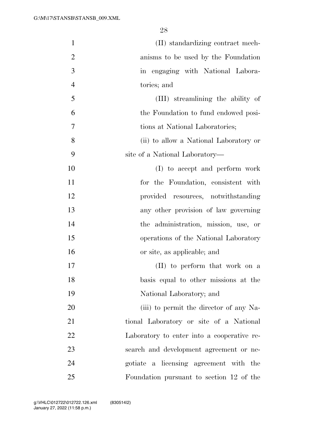| $\mathbf{1}$   | (II) standardizing contract mech-          |
|----------------|--------------------------------------------|
| $\overline{2}$ | anisms to be used by the Foundation        |
| 3              | in engaging with National Labora-          |
| $\overline{4}$ | tories; and                                |
| 5              | (III) streamlining the ability of          |
| 6              | the Foundation to fund endowed posi-       |
| 7              | tions at National Laboratories;            |
| 8              | (ii) to allow a National Laboratory or     |
| 9              | site of a National Laboratory—             |
| 10             | (I) to accept and perform work             |
| 11             | for the Foundation, consistent with        |
| 12             | provided resources, notwithstanding        |
| 13             | any other provision of law governing       |
| 14             | the administration, mission, use, or       |
| 15             | operations of the National Laboratory      |
| 16             | or site, as applicable; and                |
| 17             | (II) to perform that work on a             |
| 18             | basis equal to other missions at the       |
| 19             | National Laboratory; and                   |
| 20             | (iii) to permit the director of any Na-    |
| 21             | tional Laboratory or site of a National    |
| 22             | Laboratory to enter into a cooperative re- |
| 23             | search and development agreement or ne-    |
| 24             | gotiate a licensing agreement with the     |
| 25             | Foundation pursuant to section 12 of the   |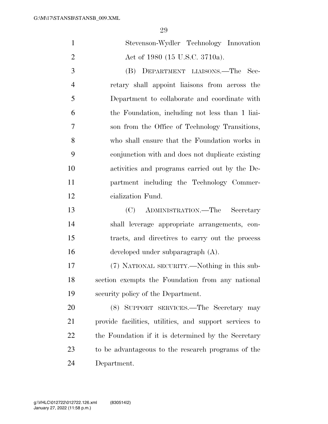$\Omega$ 

|                | zу                                                     |
|----------------|--------------------------------------------------------|
| $\mathbf{1}$   | Stevenson-Wydler Technology Innovation                 |
| $\overline{2}$ | Act of 1980 (15 U.S.C. 3710a).                         |
| 3              | (B) DEPARTMENT LIAISONS.—The Sec-                      |
| $\overline{4}$ | retary shall appoint liaisons from across the          |
| 5              | Department to collaborate and coordinate with          |
| 6              | the Foundation, including not less than 1 liai-        |
| 7              | son from the Office of Technology Transitions,         |
| 8              | who shall ensure that the Foundation works in          |
| 9              | conjunction with and does not duplicate existing       |
| 10             | activities and programs carried out by the De-         |
| 11             | partment including the Technology Commer-              |
| 12             | cialization Fund.                                      |
| 13             | (C)<br>ADMINISTRATION.—The Secretary                   |
| 14             | shall leverage appropriate arrangements, con-          |
| 15             | tracts, and directives to carry out the process        |
| 16             | developed under subparagraph (A).                      |
| 17             | (7) NATIONAL SECURITY.—Nothing in this sub-            |
| 18             | section exempts the Foundation from any national       |
| 19             | security policy of the Department.                     |
| 20             | (8) SUPPORT SERVICES.—The Secretary may                |
| 21             | provide facilities, utilities, and support services to |
| 22             | the Foundation if it is determined by the Secretary    |
| 23             | to be advantageous to the research programs of the     |

Department.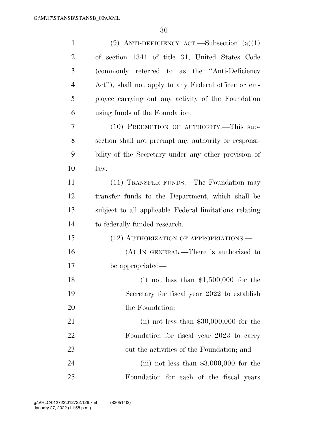| $\mathbf{1}$   | (9) ANTI-DEFICIENCY ACT.—Subsection $(a)(1)$           |
|----------------|--------------------------------------------------------|
| $\overline{2}$ | of section 1341 of title 31, United States Code        |
| 3              | (commonly referred to as the "Anti-Deficiency"         |
| $\overline{4}$ | Act"), shall not apply to any Federal officer or em-   |
| 5              | ployee carrying out any activity of the Foundation     |
| 6              | using funds of the Foundation.                         |
| 7              | (10) PREEMPTION OF AUTHORITY.-This sub-                |
| 8              | section shall not preempt any authority or responsi-   |
| 9              | bility of the Secretary under any other provision of   |
| 10             | law.                                                   |
| 11             | (11) TRANSFER FUNDS.—The Foundation may                |
| 12             | transfer funds to the Department, which shall be       |
| 13             | subject to all applicable Federal limitations relating |
| 14             | to federally funded research.                          |
| 15             | (12) AUTHORIZATION OF APPROPRIATIONS.—                 |
| 16             | $(A)$ In GENERAL.—There is authorized to               |
| 17             | be appropriated—                                       |
| 18             | (i) not less than $$1,500,000$ for the                 |
| 19             | Secretary for fiscal year 2022 to establish            |
| 20             | the Foundation;                                        |
| 21             | (ii) not less than $$30,000,000$ for the               |
| 22             | Foundation for fiscal year 2023 to carry               |
| 23             | out the activities of the Foundation; and              |
| 24             | (iii) not less than $$3,000,000$ for the               |
| 25             | Foundation for each of the fiscal years                |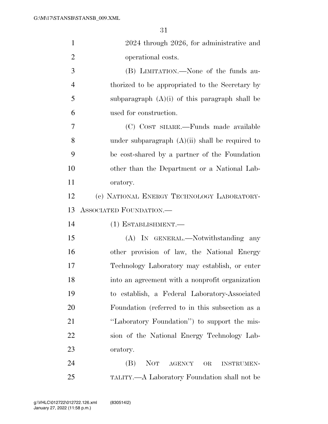| $\mathbf{1}$   | 2024 through 2026, for administrative and              |
|----------------|--------------------------------------------------------|
| $\overline{2}$ | operational costs.                                     |
| 3              | (B) LIMITATION.—None of the funds au-                  |
| $\overline{4}$ | thorized to be appropriated to the Secretary by        |
| 5              | subparagraph $(A)(i)$ of this paragraph shall be       |
| 6              | used for construction.                                 |
| 7              | (C) COST SHARE.—Funds made available                   |
| 8              | under subparagraph $(A)(ii)$ shall be required to      |
| 9              | be cost-shared by a partner of the Foundation          |
| 10             | other than the Department or a National Lab-           |
| 11             | oratory.                                               |
| 12             | (c) NATIONAL ENERGY TECHNOLOGY LABORATORY-             |
| 13             | ASSOCIATED FOUNDATION.                                 |
| 14             | (1) ESTABLISHMENT.—                                    |
| 15             | (A) IN GENERAL.—Notwithstanding any                    |
| 16             | other provision of law, the National Energy            |
| 17             | Technology Laboratory may establish, or enter          |
| 18             | into an agreement with a nonprofit organization        |
| 19             | to establish, a Federal Laboratory-Associated          |
| 20             | Foundation (referred to in this subsection as a        |
| 21             | "Laboratory Foundation") to support the mis-           |
| 22             | sion of the National Energy Technology Lab-            |
| 23             | oratory.                                               |
| 24             | <b>NOT</b><br>(B)<br>AGENCY<br>OR<br><b>INSTRUMEN-</b> |
| 25             | TALITY.—A Laboratory Foundation shall not be           |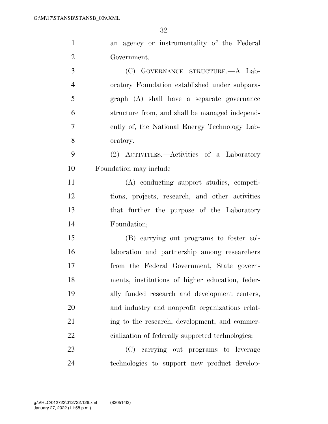| $\mathbf{1}$   | an agency or instrumentality of the Federal      |
|----------------|--------------------------------------------------|
| $\overline{2}$ | Government.                                      |
| 3              | (C) GOVERNANCE STRUCTURE.—A Lab-                 |
| $\overline{4}$ | oratory Foundation established under subpara-    |
| 5              | graph (A) shall have a separate governance       |
| 6              | structure from, and shall be managed independ-   |
| 7              | ently of, the National Energy Technology Lab-    |
| 8              | oratory.                                         |
| 9              | (2) ACTIVITIES.—Activities of a Laboratory       |
| 10             | Foundation may include—                          |
| 11             | (A) conducting support studies, competi-         |
| 12             | tions, projects, research, and other activities  |
| 13             | that further the purpose of the Laboratory       |
| 14             | Foundation;                                      |
| 15             | (B) carrying out programs to foster col-         |
| 16             | laboration and partnership among researchers     |
| 17             | from the Federal Government, State govern-       |
| 18             | ments, institutions of higher education, feder-  |
| 19             | ally funded research and development centers,    |
| 20             | and industry and nonprofit organizations relat-  |
| 21             | ing to the research, development, and commer-    |
| 22             | cialization of federally supported technologies; |
| 23             | (C) carrying out programs to leverage            |
| 24             | technologies to support new product develop-     |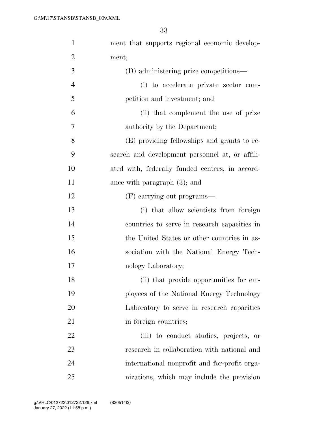| $\mathbf{1}$   | ment that supports regional economic develop-   |
|----------------|-------------------------------------------------|
| $\overline{2}$ | ment;                                           |
| 3              | (D) administering prize competitions—           |
| $\overline{4}$ | (i) to accelerate private sector com-           |
| 5              | petition and investment; and                    |
| 6              | (ii) that complement the use of prize           |
| 7              | authority by the Department;                    |
| 8              | (E) providing fellowships and grants to re-     |
| 9              | search and development personnel at, or affili- |
| 10             | ated with, federally funded centers, in accord- |
| 11             | ance with paragraph $(3)$ ; and                 |
| 12             | (F) carrying out programs—                      |
| 13             | (i) that allow scientists from foreign          |
| 14             | countries to serve in research capacities in    |
| 15             | the United States or other countries in as-     |
| 16             | sociation with the National Energy Tech-        |
| 17             | nology Laboratory;                              |
| 18             | (ii) that provide opportunities for em-         |
| 19             | ployees of the National Energy Technology       |
| 20             | Laboratory to serve in research capacities      |
| 21             | in foreign countries;                           |
| 22             | (iii) to conduct studies, projects, or          |
| 23             | research in collaboration with national and     |
| 24             | international nonprofit and for-profit orga-    |
| 25             | nizations, which may include the provision      |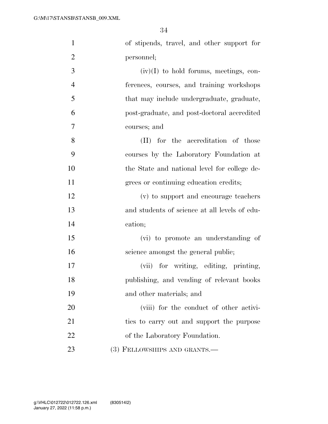| $\mathbf{1}$   | of stipends, travel, and other support for    |
|----------------|-----------------------------------------------|
| $\overline{2}$ | personnel;                                    |
| 3              | $(iv)(I)$ to hold forums, meetings, con-      |
| $\overline{4}$ | ferences, courses, and training workshops     |
| 5              | that may include undergraduate, graduate,     |
| 6              | post-graduate, and post-doctoral accredited   |
| 7              | courses; and                                  |
| 8              | (II) for the accreditation of those           |
| 9              | courses by the Laboratory Foundation at       |
| 10             | the State and national level for college de-  |
| 11             | grees or continuing education credits;        |
| 12             | (v) to support and encourage teachers         |
| 13             | and students of science at all levels of edu- |
| 14             | cation;                                       |
| 15             | (vi) to promote an understanding of           |
| 16             | science amongst the general public;           |
| 17             | (vii) for writing, editing, printing,         |
| 18             | publishing, and vending of relevant books     |
| 19             | and other materials; and                      |
| 20             | (viii) for the conduct of other activi-       |
| 21             | ties to carry out and support the purpose     |
| 22             | of the Laboratory Foundation.                 |
| 23             | (3) FELLOWSHIPS AND GRANTS.—                  |